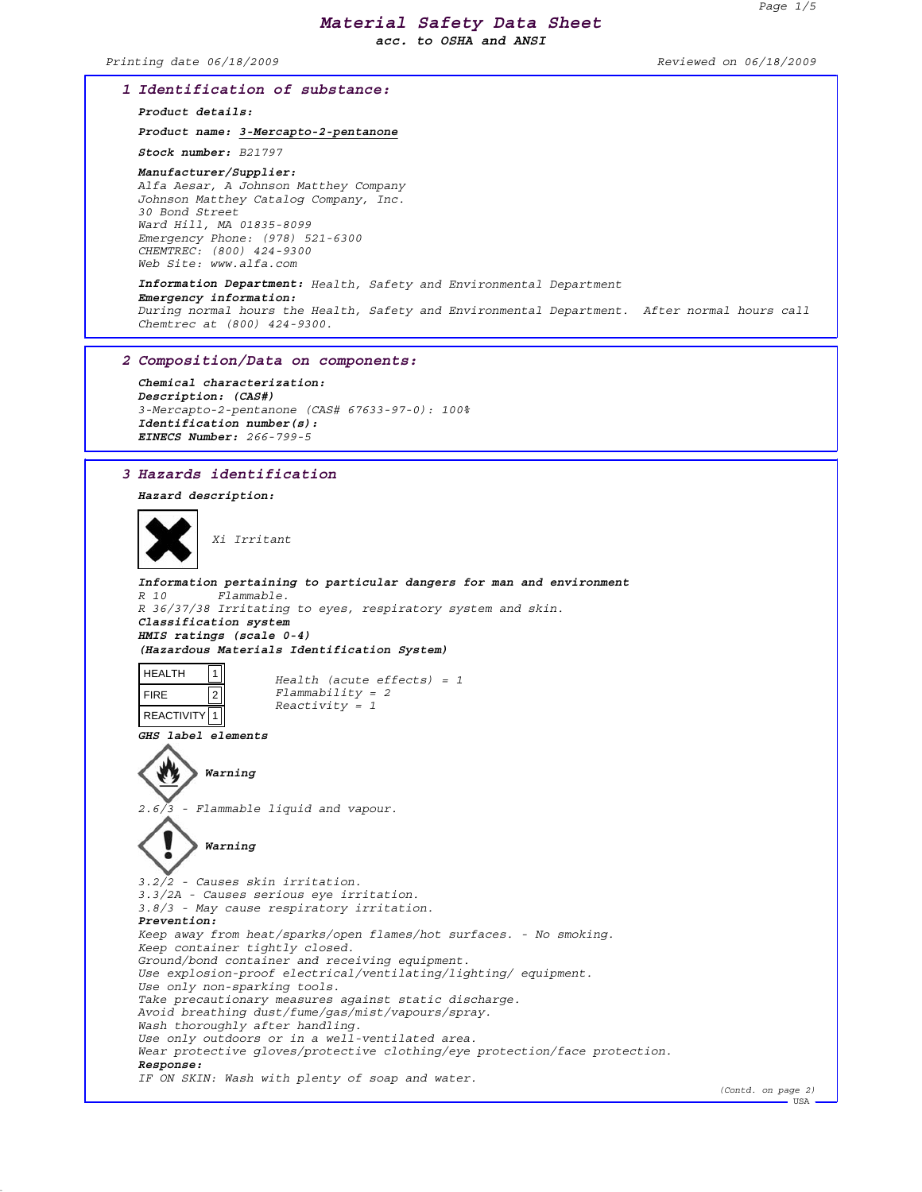*acc. to OSHA and ANSI*

*Printing date 06/18/2009 Reviewed on 06/18/2009*

### *1 Identification of substance:*

*Product details:*

*Product name: 3-Mercapto-2-pentanone*

*Stock number: B21797*

### *Manufacturer/Supplier: Alfa Aesar, A Johnson Matthey Company Johnson Matthey Catalog Company, Inc. 30 Bond Street Ward Hill, MA 01835-8099 Emergency Phone: (978) 521-6300 CHEMTREC: (800) 424-9300 Web Site: www.alfa.com*

### *Information Department: Health, Safety and Environmental Department Emergency information: During normal hours the Health, Safety and Environmental Department. After normal hours call Chemtrec at (800) 424-9300.*

### *2 Composition/Data on components:*

*Chemical characterization: Description: (CAS#) 3-Mercapto-2-pentanone (CAS# 67633-97-0): 100% Identification number(s): EINECS Number: 266-799-5*

## *3 Hazards identification*

*Warning*

*Hazard description:*



*Xi Irritant*

*Information pertaining to particular dangers for man and environment R 10 Flammable. R 36/37/38 Irritating to eyes, respiratory system and skin. Classification system HMIS ratings (scale 0-4) (Hazardous Materials Identification System)* HEALTH FIRE REACTIVITY 1  $|1|$  $|2|$ *Health (acute effects) = 1 Flammability = 2 Reactivity = 1 GHS label elements Warning 2.6/3 - Flammable liquid and vapour.*

*3.2/2 - Causes skin irritation. 3.3/2A - Causes serious eye irritation. 3.8/3 - May cause respiratory irritation. Prevention: Keep away from heat/sparks/open flames/hot surfaces. - No smoking. Keep container tightly closed. Ground/bond container and receiving equipment. Use explosion-proof electrical/ventilating/lighting/ equipment. Use only non-sparking tools. Take precautionary measures against static discharge. Avoid breathing dust/fume/gas/mist/vapours/spray. Wash thoroughly after handling. Use only outdoors or in a well-ventilated area. Wear protective gloves/protective clothing/eye protection/face protection. Response: IF ON SKIN: Wash with plenty of soap and water.*

*(Contd. on page 2)*

 $-$ USA $-$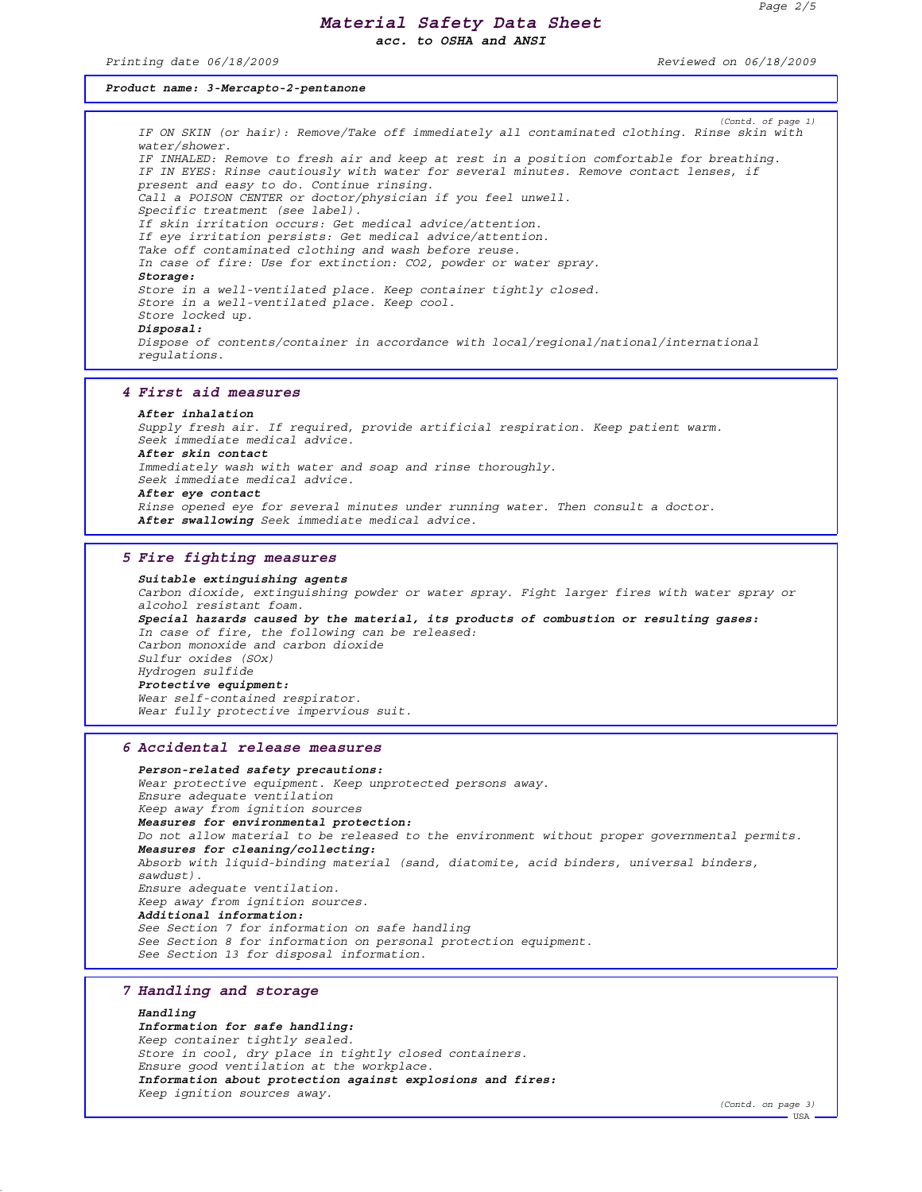*acc. to OSHA and ANSI*

*Printing date 06/18/2009 Reviewed on 06/18/2009*

## *Product name: 3-Mercapto-2-pentanone*

*(Contd. of page 1) IF ON SKIN (or hair): Remove/Take off immediately all contaminated clothing. Rinse skin with water/shower. IF INHALED: Remove to fresh air and keep at rest in a position comfortable for breathing. IF IN EYES: Rinse cautiously with water for several minutes. Remove contact lenses, if present and easy to do. Continue rinsing. Call a POISON CENTER or doctor/physician if you feel unwell. Specific treatment (see label). If skin irritation occurs: Get medical advice/attention. If eye irritation persists: Get medical advice/attention. Take off contaminated clothing and wash before reuse. In case of fire: Use for extinction: CO2, powder or water spray. Storage: Store in a well-ventilated place. Keep container tightly closed. Store in a well-ventilated place. Keep cool. Store locked up. Disposal: Dispose of contents/container in accordance with local/regional/national/international regulations.*

#### *4 First aid measures*

*After inhalation Supply fresh air. If required, provide artificial respiration. Keep patient warm. Seek immediate medical advice. After skin contact Immediately wash with water and soap and rinse thoroughly. Seek immediate medical advice. After eye contact Rinse opened eye for several minutes under running water. Then consult a doctor. After swallowing Seek immediate medical advice.*

# *5 Fire fighting measures*

*Suitable extinguishing agents Carbon dioxide, extinguishing powder or water spray. Fight larger fires with water spray or alcohol resistant foam. Special hazards caused by the material, its products of combustion or resulting gases: In case of fire, the following can be released: Carbon monoxide and carbon dioxide Sulfur oxides (SOx) Hydrogen sulfide Protective equipment: Wear self-contained respirator. Wear fully protective impervious suit.*

### *6 Accidental release measures*

*Person-related safety precautions: Wear protective equipment. Keep unprotected persons away. Ensure adequate ventilation Keep away from ignition sources Measures for environmental protection: Do not allow material to be released to the environment without proper governmental permits. Measures for cleaning/collecting: Absorb with liquid-binding material (sand, diatomite, acid binders, universal binders, sawdust). Ensure adequate ventilation. Keep away from ignition sources. Additional information: See Section 7 for information on safe handling See Section 8 for information on personal protection equipment. See Section 13 for disposal information.*

## *7 Handling and storage*

*Handling Information for safe handling: Keep container tightly sealed. Store in cool, dry place in tightly closed containers. Ensure good ventilation at the workplace. Information about protection against explosions and fires: Keep ignition sources away.*

*(Contd. on page 3)* **HSA**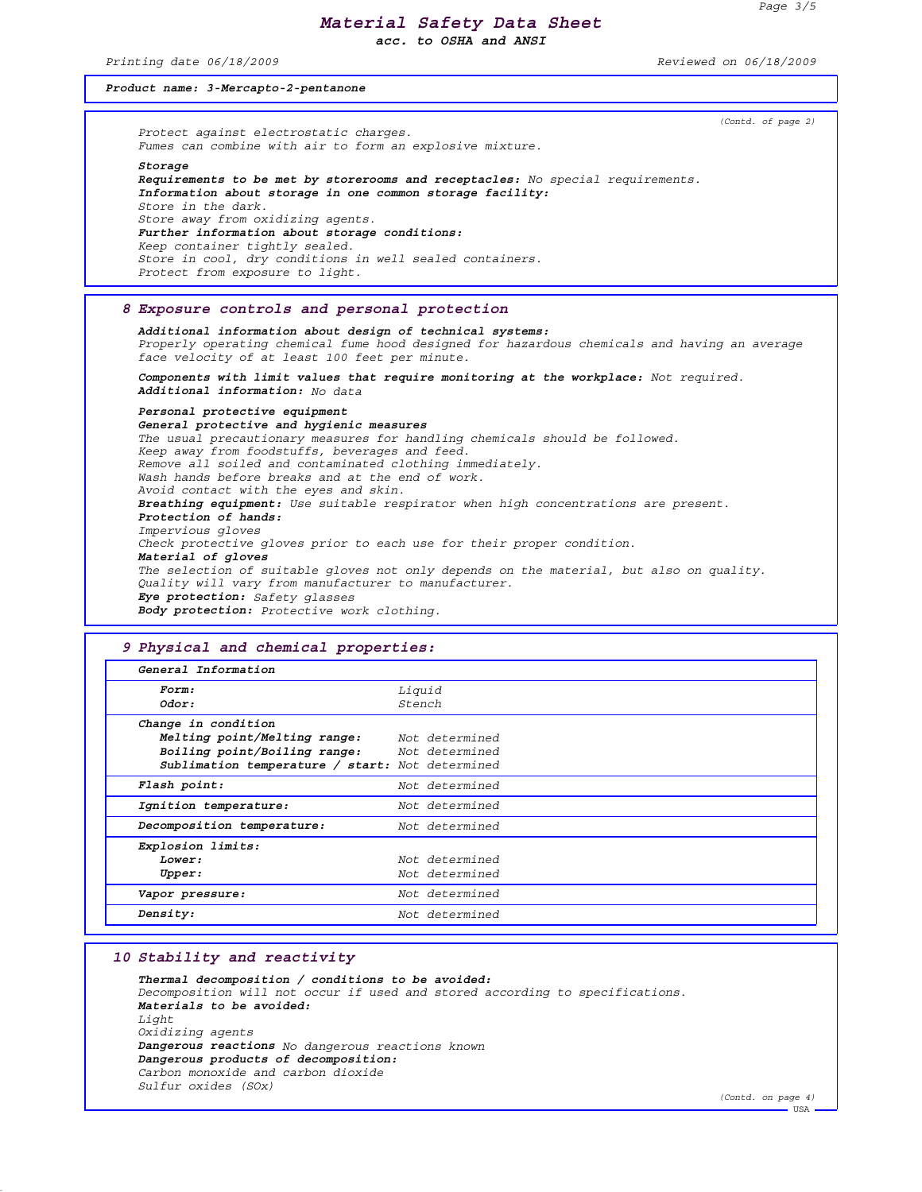*acc. to OSHA and ANSI*

*Printing date 06/18/2009 Reviewed on 06/18/2009*

## *Product name: 3-Mercapto-2-pentanone*

*(Contd. of page 2) Protect against electrostatic charges. Fumes can combine with air to form an explosive mixture. Storage Requirements to be met by storerooms and receptacles: No special requirements. Information about storage in one common storage facility: Store in the dark. Store away from oxidizing agents. Further information about storage conditions: Keep container tightly sealed. Store in cool, dry conditions in well sealed containers. Protect from exposure to light.*

## *8 Exposure controls and personal protection*

*Additional information about design of technical systems: Properly operating chemical fume hood designed for hazardous chemicals and having an average face velocity of at least 100 feet per minute.*

*Components with limit values that require monitoring at the workplace: Not required. Additional information: No data*

## *Personal protective equipment*

*General protective and hygienic measures The usual precautionary measures for handling chemicals should be followed. Keep away from foodstuffs, beverages and feed. Remove all soiled and contaminated clothing immediately. Wash hands before breaks and at the end of work. Avoid contact with the eyes and skin. Breathing equipment: Use suitable respirator when high concentrations are present. Protection of hands: Impervious gloves Check protective gloves prior to each use for their proper condition. Material of gloves The selection of suitable gloves not only depends on the material, but also on quality. Quality will vary from manufacturer to manufacturer. Eye protection: Safety glasses Body protection: Protective work clothing.*

## *9 Physical and chemical properties:*

| General Information                                                                                                            |                  |
|--------------------------------------------------------------------------------------------------------------------------------|------------------|
| Form:<br>Odor:                                                                                                                 | Liquid<br>Stench |
| Change in condition                                                                                                            |                  |
| Melting point/Melting range:<br>Boiling point/Boiling range: Not determined<br>Sublimation temperature / start: Not determined | Not determined   |
| Flash point:                                                                                                                   | Not determined   |
| Ignition temperature:                                                                                                          | Not determined   |
| Decomposition temperature:                                                                                                     | Not determined   |
| Explosion limits:                                                                                                              |                  |
| Lower:                                                                                                                         | Not determined   |
| Upper:                                                                                                                         | Not determined   |
| Vapor pressure:                                                                                                                | Not determined   |
| Density:                                                                                                                       | Not determined   |

## *10 Stability and reactivity*

*Thermal decomposition / conditions to be avoided: Decomposition will not occur if used and stored according to specifications. Materials to be avoided: Light Oxidizing agents Dangerous reactions No dangerous reactions known Dangerous products of decomposition: Carbon monoxide and carbon dioxide Sulfur oxides (SOx)*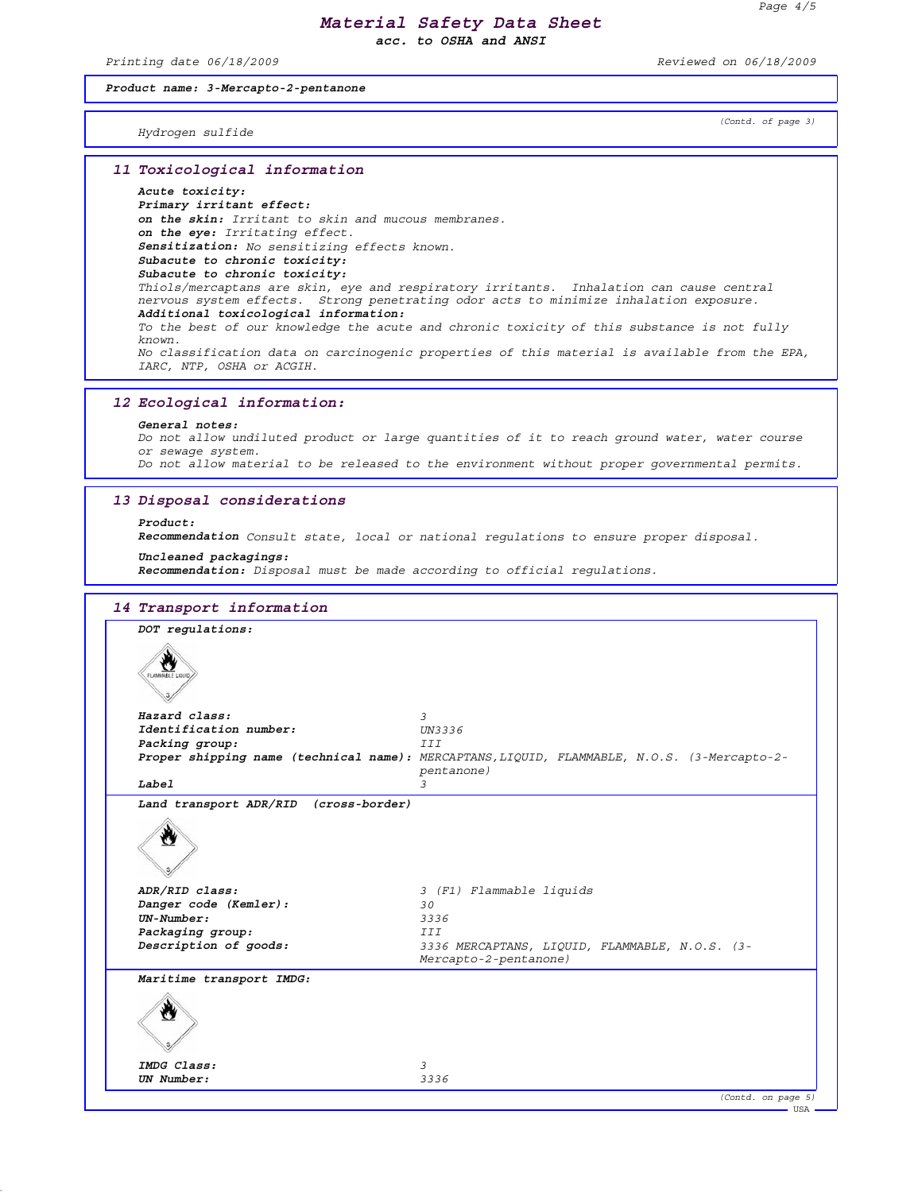*acc. to OSHA and ANSI*

*Printing date 06/18/2009 Reviewed on 06/18/2009*

## *Product name: 3-Mercapto-2-pentanone*

*(Contd. of page 3)*

*Hydrogen sulfide*

### *11 Toxicological information*

### *Acute toxicity:*

*Primary irritant effect: on the skin: Irritant to skin and mucous membranes. on the eye: Irritating effect. Sensitization: No sensitizing effects known. Subacute to chronic toxicity: Subacute to chronic toxicity: Thiols/mercaptans are skin, eye and respiratory irritants. Inhalation can cause central nervous system effects. Strong penetrating odor acts to minimize inhalation exposure. Additional toxicological information: To the best of our knowledge the acute and chronic toxicity of this substance is not fully known. No classification data on carcinogenic properties of this material is available from the EPA, IARC, NTP, OSHA or ACGIH.*

### *12 Ecological information:*

#### *General notes:*

*Do not allow undiluted product or large quantities of it to reach ground water, water course or sewage system.*

*Do not allow material to be released to the environment without proper governmental permits.*

### *13 Disposal considerations*

### *Product:*

*Recommendation Consult state, local or national regulations to ensure proper disposal.*

### *Uncleaned packagings:*

*Recommendation: Disposal must be made according to official regulations.*

| DOT regulations:                      |                                                                                             |
|---------------------------------------|---------------------------------------------------------------------------------------------|
| α,<br>FLAMMABLE LIQUID                |                                                                                             |
|                                       |                                                                                             |
| Hazard class:                         | $\mathcal{Z}$                                                                               |
| Identification number:                | UN3336                                                                                      |
| Packing group:                        | III                                                                                         |
|                                       | Proper shipping name (technical name): MERCAPTANS, LIQUID, FLAMMABLE, N.O.S. (3-Mercapto-2- |
| Label                                 | pentanone)<br>3                                                                             |
| Land transport ADR/RID (cross-border) |                                                                                             |
|                                       |                                                                                             |
| ADR/RID class:                        | 3 (F1) Flammable liquids                                                                    |
| Danger code (Kemler):                 | 30                                                                                          |
| $UN-Number:$                          | 3336                                                                                        |
| Packaging group:                      | <b>III</b>                                                                                  |
| Description of goods:                 | 3336 MERCAPTANS, LIQUID, FLAMMABLE, N.O.S. (3-<br>Mercapto-2-pentanone)                     |
| Maritime transport IMDG:              |                                                                                             |
|                                       |                                                                                             |
| IMDG Class:                           | 3                                                                                           |